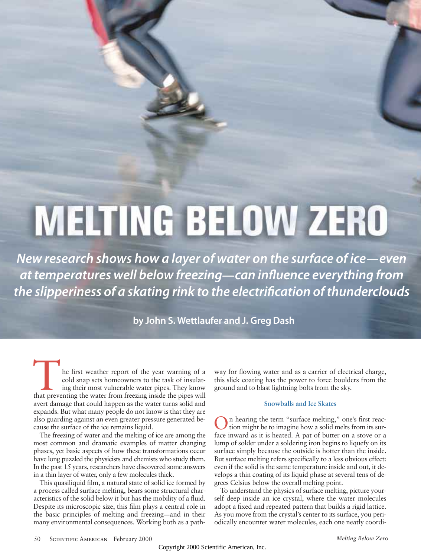# **MELTING BELOW ZERO**

*New research shows how a layer of water on the surface of ice—even at temperatures well below freezing—can influence everything from the slipperiness of a skating rink to the electrification of thunderclouds*

**by John S. Wettlaufer and J. Greg Dash**

The first weather report of the year warning of a cold snap sets homeowners to the task of insulating their most vulnerable water pipes. They know that preventing the water from freezing inside the pipes will cold snap sets homeowners to the task of insulating their most vulnerable water pipes. They know avert damage that could happen as the water turns solid and expands. But what many people do not know is that they are also guarding against an even greater pressure generated because the surface of the ice remains liquid.

The freezing of water and the melting of ice are among the most common and dramatic examples of matter changing phases, yet basic aspects of how these transformations occur have long puzzled the physicists and chemists who study them. In the past 15 years, researchers have discovered some answers in a thin layer of water, only a few molecules thick.

This quasiliquid film, a natural state of solid ice formed by a process called surface melting, bears some structural characteristics of the solid below it but has the mobility of a fluid. Despite its microscopic size, this film plays a central role in the basic principles of melting and freezing—and in their many environmental consequences. Working both as a pathway for flowing water and as a carrier of electrical charge, this slick coating has the power to force boulders from the ground and to blast lightning bolts from the sky.

## **Snowballs and Ice Skates**

On hearing the term "surface melting," one's first reac-tion might be to imagine how a solid melts from its surface inward as it is heated. A pat of butter on a stove or a lump of solder under a soldering iron begins to liquefy on its surface simply because the outside is hotter than the inside. But surface melting refers specifically to a less obvious effect: even if the solid is the same temperature inside and out, it develops a thin coating of its liquid phase at several tens of degrees Celsius below the overall melting point.

To understand the physics of surface melting, picture yourself deep inside an ice crystal, where the water molecules adopt a fixed and repeated pattern that builds a rigid lattice. As you move from the crystal's center to its surface, you periodically encounter water molecules, each one neatly coordi-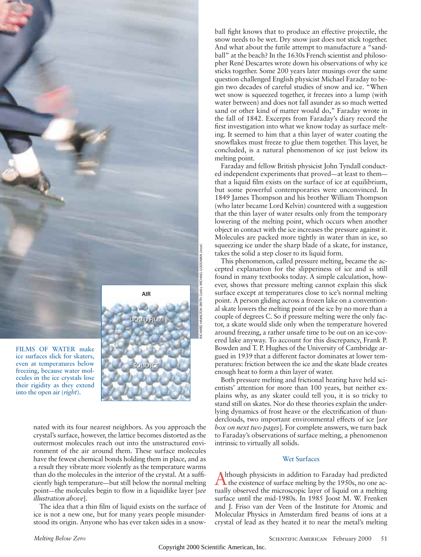

**SOLID ICE SOLID ICE**

**FILMS OF WATER make ice surfaces slick for skaters, even at temperatures below freezing, because water molecules in the ice crystals lose their rigidity as they extend into the open air (***right***).**

nated with its four nearest neighbors. As you approach the crystal's surface, however, the lattice becomes distorted as the outermost molecules reach out into the unstructured environment of the air around them. These surface molecules have the fewest chemical bonds holding them in place, and as a result they vibrate more violently as the temperature warms than do the molecules in the interior of the crystal. At a sufficiently high temperature—but still below the normal melting point—the molecules begin to flow in a liquidlike layer [*see illustration above*].

The idea that a thin film of liquid exists on the surface of ice is not a new one, but for many years people misunderstood its origin. Anyone who has ever taken sides in a snowball fight knows that to produce an effective projectile, the snow needs to be wet. Dry snow just does not stick together. And what about the futile attempt to manufacture a "sandball" at the beach? In the 1630s French scientist and philosopher René Descartes wrote down his observations of why ice sticks together. Some 200 years later musings over the same question challenged English physicist Michael Faraday to begin two decades of careful studies of snow and ice. "When wet snow is squeezed together, it freezes into a lump (with water between) and does not fall asunder as so much wetted sand or other kind of matter would do," Faraday wrote in the fall of 1842. Excerpts from Faraday's diary record the first investigation into what we know today as surface melting. It seemed to him that a thin layer of water coating the snowflakes must freeze to glue them together. This layer, he concluded, is a natural phenomenon of ice just below its melting point.

Faraday and fellow British physicist John Tyndall conducted independent experiments that proved—at least to them that a liquid film exists on the surface of ice at equilibrium, but some powerful contemporaries were unconvinced. In 1849 James Thompson and his brother William Thompson (who later became Lord Kelvin) countered with a suggestion that the thin layer of water results only from the temporary lowering of the melting point, which occurs when another object in contact with the ice increases the pressure against it. Molecules are packed more tightly in water than in ice, so squeezing ice under the sharp blade of a skate, for instance, takes the solid a step closer to its liquid form.

This phenomenon, called pressure melting, became the accepted explanation for the slipperiness of ice and is still found in many textbooks today. A simple calculation, however, shows that pressure melting cannot explain this slick surface except at temperatures close to ice's normal melting point. A person gliding across a frozen lake on a conventional skate lowers the melting point of the ice by no more than a couple of degrees C. So if pressure melting were the only factor, a skate would slide only when the temperature hovered around freezing, a rather unsafe time to be out on an ice-covered lake anyway. To account for this discrepancy, Frank P. Bowden and T. P. Hughes of the University of Cambridge argued in 1939 that a different factor dominates at lower temperatures: friction between the ice and the skate blade creates enough heat to form a thin layer of water.

Both pressure melting and frictional heating have held scientists' attention for more than 100 years, but neither explains why, as any skater could tell you, it is so tricky to stand still on skates. Nor do these theories explain the underlying dynamics of frost heave or the electrification of thunderclouds, two important environmental effects of ice [*see box on next two pages*]. For complete answers, we turn back to Faraday's observations of surface melting, a phenomenon intrinsic to virtually all solids.

#### **Wet Surfaces**

Although physicists in addition to Faraday had predicted<br>the existence of surface melting by the 1950s, no one actually observed the microscopic layer of liquid on a melting surface until the mid-1980s. In 1985 Joost M. W. Frenken and J. Friso van der Veen of the Institute for Atomic and Molecular Physics in Amsterdam fired beams of ions at a crystal of lead as they heated it to near the metal's melting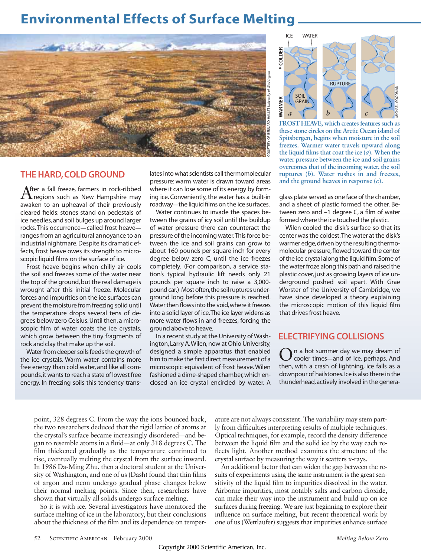# **Environmental Effects of Surface Melting**



# **THE HARD,COLD GROUND**

After a fall freeze, farmers in rock-ribbed<br> **A** regions such as New Hampshire may awaken to an upheaval of their previously cleared fields: stones stand on pedestals of ice needles, and soil bulges up around larger rocks. This occurrence—called frost heave ranges from an agricultural annoyance to an industrial nightmare.Despite its dramatic effects, frost heave owes its strength to microscopic liquid films on the surface of ice.

Frost heave begins when chilly air cools the soil and freezes some of the water near the top of the ground, but the real damage is wrought after this initial freeze. Molecular forces and impurities on the ice surfaces can prevent the moisture from freezing solid until the temperature drops several tens of degrees below zero Celsius.Until then,a microscopic film of water coats the ice crystals, which grow between the tiny fragments of rock and clay that make up the soil.

Water from deeper soils feeds the growth of the ice crystals. Warm water contains more free energy than cold water, and like all compounds,it wants to reach a state of lowest free energy. In freezing soils this tendency translates into what scientists call thermomolecular pressure: warm water is drawn toward areas where it can lose some of its energy by forming ice. Conveniently, the water has a built-in roadway—the liquid films on the ice surfaces.

Water continues to invade the spaces between the grains of icy soil until the buildup of water pressure there can counteract the pressure of the incoming water.This force between the ice and soil grains can grow to about 160 pounds per square inch for every degree below zero C, until the ice freezes completely. (For comparison, a service station's typical hydraulic lift needs only 21 pounds per square inch to raise a 3,000 pound car.) Most often, the soil ruptures underground long before this pressure is reached. Water then flows into the void,where it freezes into a solid layer of ice.The ice layer widens as more water flows in and freezes, forcing the ground above to heave.

In a recent study at the University of Washington, Larry A. Wilen, now at Ohio University, designed a simple apparatus that enabled him to make the first direct measurement of a microscopic equivalent of frost heave. Wilen fashioned a dime-shaped chamber,which enclosed an ice crystal encircled by water. A



**FROST HEAVE, which creates features such as these stone circles on the Arctic Ocean island of Spitsbergen, begins when moisture in the soil freezes. Warmer water travels upward along** the liquid films that coat the ice  $\overline{(a)}$ . When the **water pressure between the ice and soil grains overcomes that of the incoming water, the soil ruptures (***b***). Water rushes in and freezes, and the ground heaves in response (***c***).**

glass plate served as one face of the chamber, and a sheet of plastic formed the other. Between zero and –1 degree C, a film of water formed where the ice touched the plastic.

Wilen cooled the disk's surface so that its center was the coldest.The water at the disk's warmer edge, driven by the resulting thermomolecular pressure, flowed toward the center of the ice crystal along the liquid film.Some of the water froze along this path and raised the plastic cover, just as growing layers of ice underground pushed soil apart. With Grae Worster of the University of Cambridge, we have since developed a theory explaining the microscopic motion of this liquid film that drives frost heave.

# **ELECTRIFYING COLLISIONS**

On a hot summer day we may dream of<br>cooler times—and of ice, perhaps. And then, with a crash of lightning, ice falls as a downpour of hailstones.Ice is also there in the thunderhead,actively involved in the genera-

point, 328 degrees C. From the way the ions bounced back, the two researchers deduced that the rigid lattice of atoms at the crystal's surface became increasingly disordered—and began to resemble atoms in a fluid—at only 318 degrees C. The film thickened gradually as the temperature continued to rise, eventually melting the crystal from the surface inward. In 1986 Da-Ming Zhu, then a doctoral student at the University of Washington, and one of us (Dash) found that thin films of argon and neon undergo gradual phase changes below their normal melting points. Since then, researchers have shown that virtually all solids undergo surface melting.

So it is with ice. Several investigators have monitored the surface melting of ice in the laboratory, but their conclusions about the thickness of the film and its dependence on temperature are not always consistent. The variability may stem partly from difficulties interpreting results of multiple techniques. Optical techniques, for example, record the density difference between the liquid film and the solid ice by the way each reflects light. Another method examines the structure of the crystal surface by measuring the way it scatters x-rays.

An additional factor that can widen the gap between the results of experiments using the same instrument is the great sensitivity of the liquid film to impurities dissolved in the water. Airborne impurities, most notably salts and carbon dioxide, can make their way into the instrument and build up on ice surfaces during freezing. We are just beginning to explore their influence on surface melting, but recent theoretical work by one of us (Wettlaufer) suggests that impurities enhance surface